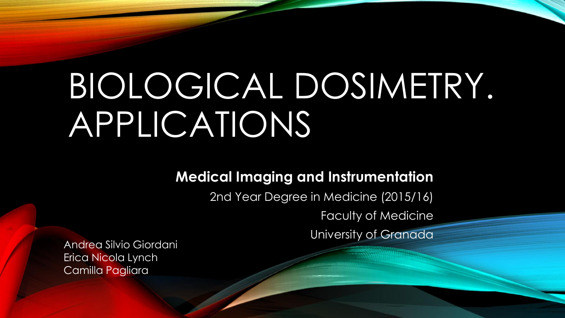# BIOLOGICAL DOSIMETRY. APPLICATIONS

#### **Medical Imaging and Instrumentation**

2nd Year Degree in Medicine (2015/16)

Faculty of Medicine

University of Granada

Andrea Silvio Giordani Erica Nicola Lynch Camilla Pagliara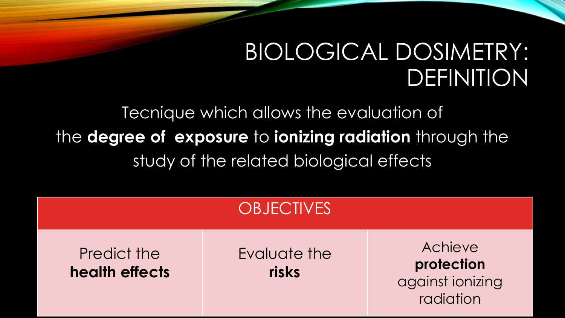# BIOLOGICAL DOSIMETRY: DEFINITION

Tecnique which allows the evaluation of the **degree of exposure** to **ionizing radiation** through the study of the related biological effects

|                               | <b>OBJECTIVES</b>     |                                                        |
|-------------------------------|-----------------------|--------------------------------------------------------|
| Predict the<br>health effects | Evaluate the<br>risks | Achieve<br>protection<br>against ionizing<br>radiation |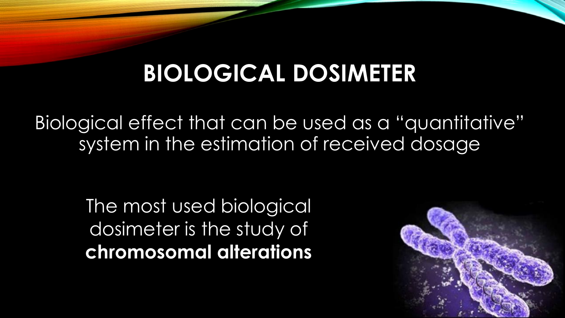## **BIOLOGICAL DOSIMETER**

Biological effect that can be used as a "quantitative" system in the estimation of received dosage

> The most used biological dosimeter is the study of **chromosomal alterations**

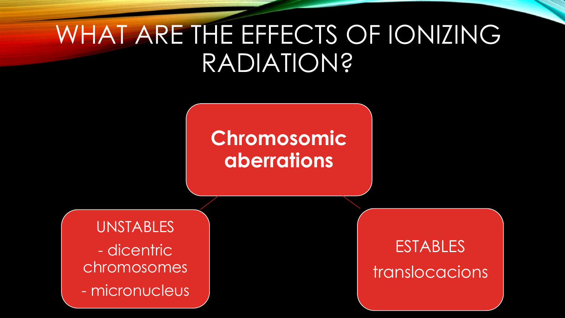# WHAT ARE THE EFFECTS OF IONIZING RADIATION?

## **Chromosomic aberrations**

**UNSTABLES** - dicentric chromosomes - micronucleus

**ESTABLES** translocacions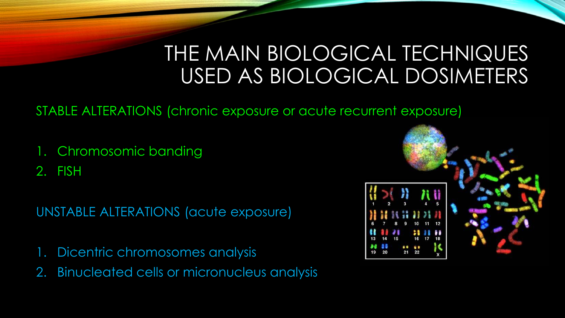## THE MAIN BIOLOGICAL TECHNIQUES USED AS BIOLOGICAL DOSIMETERS

#### STABLE ALTERATIONS (chronic exposure or acute recurrent exposure)

1. Chromosomic banding

2. FISH

UNSTABLE ALTERATIONS (acute exposure)

- 1. Dicentric chromosomes analysis
- 2. Binucleated cells or micronucleus analysis

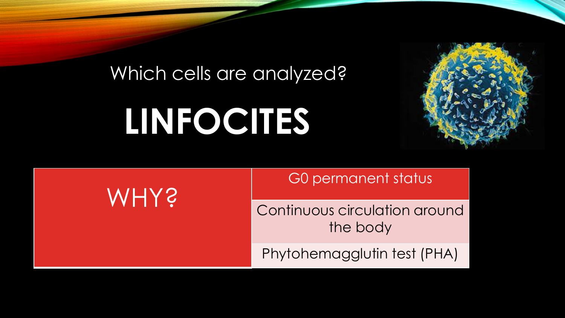### Which cells are analyzed?

# **LINFOCITES**



**WHY?** 

G0 permanent status

Continuous circulation around the body

Phytohemagglutin test (PHA)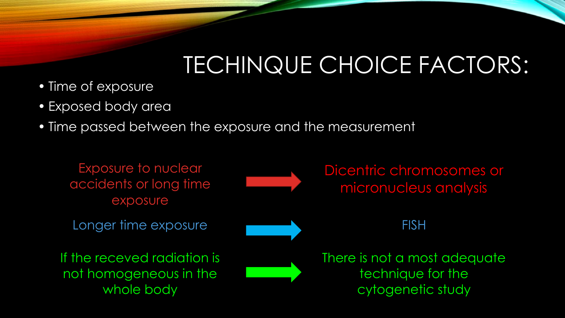# TECHINQUE CHOICE FACTORS:

- Time of exposure
- Exposed body area
- Time passed between the exposure and the measurement

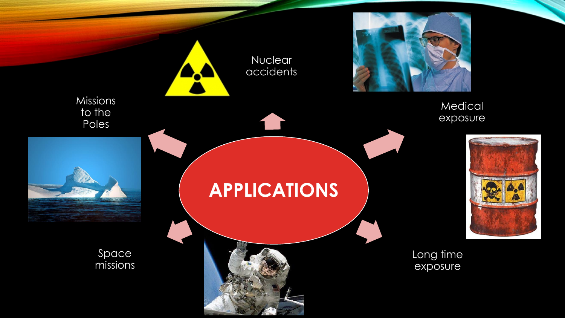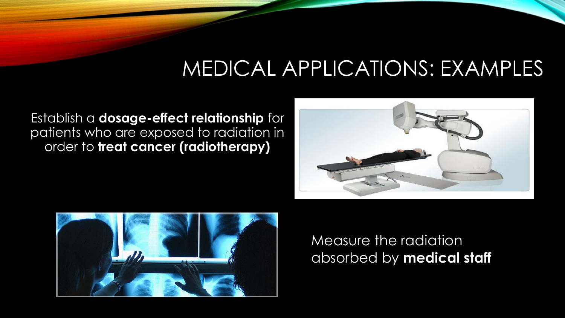## MEDICAL APPLICATIONS: EXAMPLES

Establish a **dosage-effect relationship** for patients who are exposed to radiation in order to **treat cancer (radiotherapy)**





Measure the radiation absorbed by **medical staff**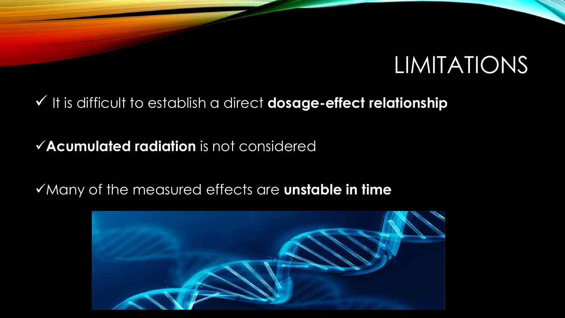## LIMITATIONS

### $\checkmark$  It is difficult to establish a direct **dosage-effect relationship**

### **Acumulated radiation** is not considered

### Many of the measured effects are **unstable in time**